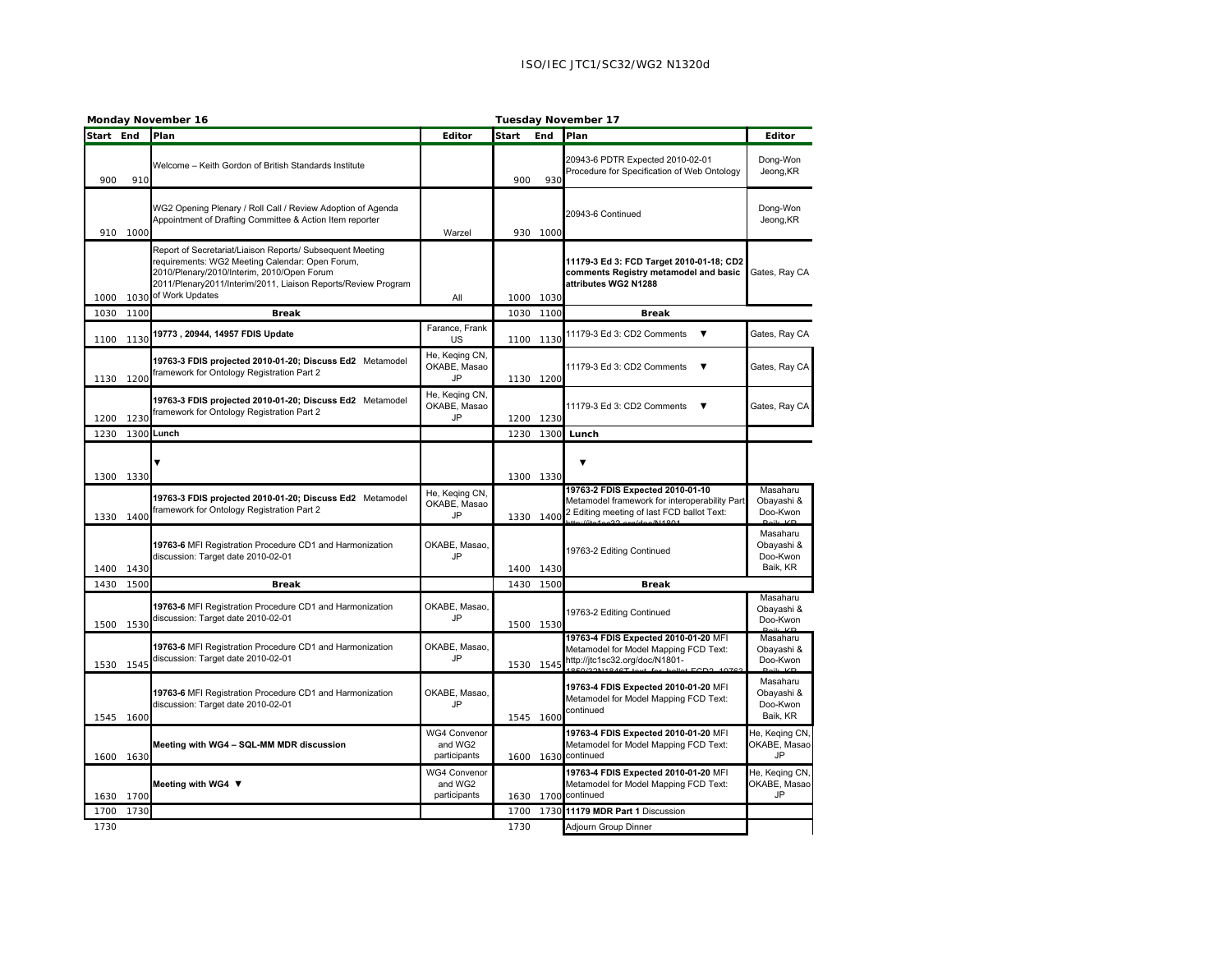|           | Monday November 16 |                                                                                                                                                                                                                                               |                                                | Tuesday November 17 |             |                                                                                                                                 |                                                |
|-----------|--------------------|-----------------------------------------------------------------------------------------------------------------------------------------------------------------------------------------------------------------------------------------------|------------------------------------------------|---------------------|-------------|---------------------------------------------------------------------------------------------------------------------------------|------------------------------------------------|
| Start End |                    | Plan                                                                                                                                                                                                                                          | Editor                                         | Start               | End         | Plan                                                                                                                            | Editor                                         |
| 900       | 910                | Welcome - Keith Gordon of British Standards Institute                                                                                                                                                                                         |                                                | 900                 | 93C         | 20943-6 PDTR Expected 2010-02-01<br>Procedure for Specification of Web Ontology                                                 | Dong-Won<br>Jeong, KR                          |
| 910       | 1000               | WG2 Opening Plenary / Roll Call / Review Adoption of Agenda<br>Appointment of Drafting Committee & Action Item reporter                                                                                                                       | Warzel                                         |                     | 930 1000    | 20943-6 Continued                                                                                                               | Dong-Won<br>Jeong, KR                          |
| 1000      | 1030               | Report of Secretariat/Liaison Reports/ Subsequent Meeting<br>equirements: WG2 Meeting Calendar: Open Forum,<br>2010/Plenary/2010/Interim, 2010/Open Forum<br>2011/Plenary2011/Interim/2011, Liaison Reports/Review Program<br>of Work Updates | All                                            | 1000                | <b>1030</b> | 11179-3 Ed 3: FCD Target 2010-01-18; CD2<br>comments Registry metamodel and basic<br>attributes WG2 N1288                       | Gates, Ray CA                                  |
| 1030      | 1100               | <b>Break</b>                                                                                                                                                                                                                                  |                                                | 1030                | 1100        | <b>Break</b>                                                                                                                    |                                                |
| 1100      | 1130               | 19773, 20944, 14957 FDIS Update                                                                                                                                                                                                               | Farance, Frank<br>US                           | 1100                | 1130        | 11179-3 Ed 3: CD2 Comments<br>$\overline{\mathbf{v}}$                                                                           | Gates, Ray CA                                  |
| 1130      | 1200               | 19763-3 FDIS projected 2010-01-20; Discuss Ed2 Metamodel<br>ramework for Ontology Registration Part 2                                                                                                                                         | He, Keqing CN,<br>OKABE, Masao<br><b>JP</b>    |                     | 1130 1200   | 11179-3 Ed 3: CD2 Comments<br>▼                                                                                                 | Gates, Ray CA                                  |
| 1200      | 1230               | 19763-3 FDIS projected 2010-01-20; Discuss Ed2 Metamodel<br>ramework for Ontology Registration Part 2                                                                                                                                         | He, Keqing CN,<br>OKABE, Masao<br>JP           | 1200                | 1230        | 11179-3 Ed 3: CD2 Comments<br>▼                                                                                                 | Gates, Ray CA                                  |
| 1230      |                    | 1300 Lunch                                                                                                                                                                                                                                    |                                                | 1230                | 1300        | Lunch                                                                                                                           |                                                |
| 1300      | 1330               |                                                                                                                                                                                                                                               |                                                | 1300                | 1330        | ▼                                                                                                                               |                                                |
| 1330      | 1400               | 19763-3 FDIS projected 2010-01-20; Discuss Ed2 Metamodel<br>framework for Ontology Registration Part 2                                                                                                                                        | He, Keqing CN,<br>OKABE, Masao<br><b>JP</b>    | 1330                | 1400        | 19763-2 FDIS Expected 2010-01-10<br>Metamodel framework for interoperability Part<br>2 Editing meeting of last FCD ballot Text: | Masaharu<br>Obayashi &<br>Doo-Kwon             |
| 1400      | 1430               | 19763-6 MFI Registration Procedure CD1 and Harmonization<br>discussion: Target date 2010-02-01                                                                                                                                                | OKABE, Masao,<br>JP                            | 1400                | 1430        | 19763-2 Editing Continued                                                                                                       | Masaharu<br>Obayashi &<br>Doo-Kwon<br>Baik, KR |
| 1430      | 1500               | <b>Break</b>                                                                                                                                                                                                                                  |                                                | 1430                | 1500        | <b>Break</b>                                                                                                                    |                                                |
| 1500      | <b>1530</b>        | 19763-6 MFI Registration Procedure CD1 and Harmonization<br>discussion: Target date 2010-02-01                                                                                                                                                | OKABE, Masao,<br><b>JP</b>                     |                     | 1500 1530   | 19763-2 Editing Continued                                                                                                       | Masaharu<br>Obayashi &<br>Doo-Kwon             |
|           | 1530 1545          | 19763-6 MFI Registration Procedure CD1 and Harmonization<br>discussion: Target date 2010-02-01                                                                                                                                                | OKABE, Masao.<br>JP.                           |                     | 1530 1545   | 19763-4 FDIS Expected 2010-01-20 MFI<br>Metamodel for Model Mapping FCD Text:<br>http://jtc1sc32.org/doc/N1801-<br>OMIADIATI    | Masaharu<br>Obayashi &<br>Doo-Kwon             |
| 1545      | 1600               | 19763-6 MFI Registration Procedure CD1 and Harmonization<br>discussion: Target date 2010-02-01                                                                                                                                                | OKABE, Masao.<br>JP                            | 1545                | 1600        | 19763-4 FDIS Expected 2010-01-20 MFI<br>Metamodel for Model Mapping FCD Text:<br>continued                                      | Masaharu<br>Obayashi &<br>Doo-Kwon<br>Baik, KR |
| 1600      | 1630               | Meeting with WG4 - SQL-MM MDR discussion                                                                                                                                                                                                      | WG4 Convenor<br>and WG2<br>participants        | 1600                |             | 19763-4 FDIS Expected 2010-01-20 MFI<br>Metamodel for Model Mapping FCD Text:<br>1630 continued                                 | He, Keging CN,<br>OKABE, Masao<br><b>JP</b>    |
| 1630      | 1700               | Meeting with WG4 ▼                                                                                                                                                                                                                            | <b>WG4 Convenor</b><br>and WG2<br>participants | 1630                |             | 19763-4 FDIS Expected 2010-01-20 MFI<br>Metamodel for Model Mapping FCD Text:<br>1700 continued                                 | He, Keging CN,<br>OKABE, Masao<br>JP           |
| 1700      | 1730               |                                                                                                                                                                                                                                               |                                                | 1700                | 1730        | 11179 MDR Part 1 Discussion                                                                                                     |                                                |
| 1730      |                    |                                                                                                                                                                                                                                               |                                                | 1730                |             | Adjourn Group Dinner                                                                                                            |                                                |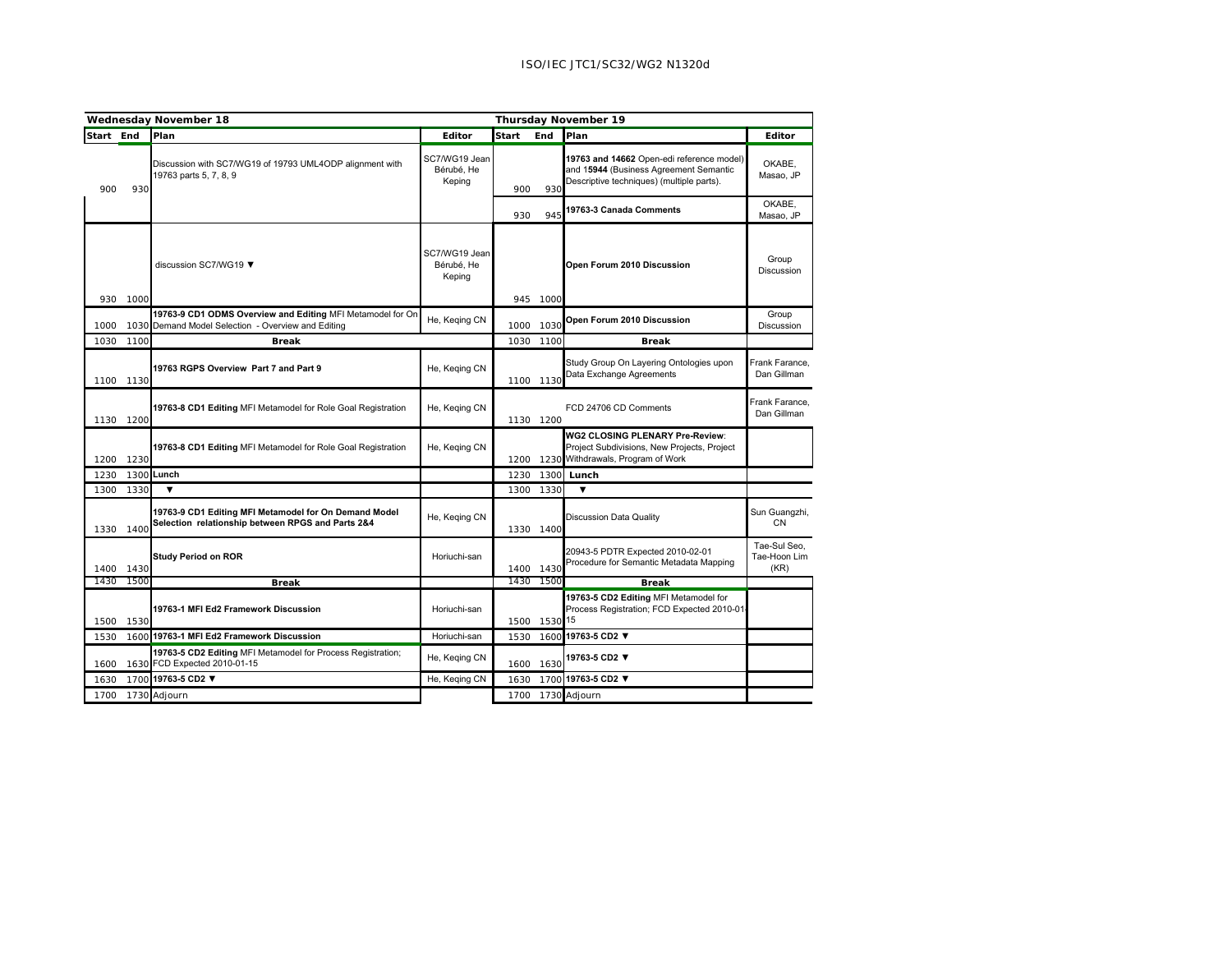|           | <b>Wednesday November 18</b> |                                                                                                             |                                       |       | <b>Thursday November 19</b> |                                                                                                                                  |                                      |  |  |
|-----------|------------------------------|-------------------------------------------------------------------------------------------------------------|---------------------------------------|-------|-----------------------------|----------------------------------------------------------------------------------------------------------------------------------|--------------------------------------|--|--|
| Start End |                              | Plan                                                                                                        | Editor                                | Start | End                         | Plan                                                                                                                             | Editor                               |  |  |
| 900       | 930                          | Discussion with SC7/WG19 of 19793 UML4ODP alignment with<br>19763 parts 5, 7, 8, 9                          | SC7/WG19 Jean<br>Bérubé, He<br>Keping | 900   | 930                         | 19763 and 14662 Open-edi reference model)<br>and 15944 (Business Agreement Semantic<br>Descriptive techniques) (multiple parts). | OKABE,<br>Masao, JP                  |  |  |
|           |                              |                                                                                                             |                                       | 930   | 945                         | 19763-3 Canada Comments                                                                                                          | OKABE.<br>Masao, JP                  |  |  |
| 930       | 1000                         | discussion SC7/WG19 ▼                                                                                       | SC7/WG19 Jean<br>Bérubé. He<br>Keping |       | 945 1000                    | Open Forum 2010 Discussion                                                                                                       | Group<br>Discussion                  |  |  |
| 1000      | 1030                         | 19763-9 CD1 ODMS Overview and Editing MFI Metamodel for On<br>Demand Model Selection - Overview and Editing | He, Keging CN                         | 1000  | 1030                        | Open Forum 2010 Discussion                                                                                                       | Group<br>Discussion                  |  |  |
| 1030      | 1100                         | <b>Break</b>                                                                                                |                                       |       | 1030 1100                   | <b>Break</b>                                                                                                                     |                                      |  |  |
|           | 1100 1130                    | 19763 RGPS Overview Part 7 and Part 9                                                                       | He, Keging CN                         |       | 1100 1130                   | Study Group On Layering Ontologies upon<br>Data Exchange Agreements                                                              | Frank Farance.<br>Dan Gillman        |  |  |
|           | 1130 1200                    | 19763-8 CD1 Editing MFI Metamodel for Role Goal Registration                                                | He, Keging CN                         |       | 1130 1200                   | FCD 24706 CD Comments                                                                                                            | Frank Farance.<br>Dan Gillman        |  |  |
| 1200      | 1230                         | 19763-8 CD1 Editing MFI Metamodel for Role Goal Registration                                                | He, Keging CN                         | 1200  |                             | WG2 CLOSING PLENARY Pre-Review:<br>Project Subdivisions, New Projects, Project<br>1230 Withdrawals, Program of Work              |                                      |  |  |
| 1230      | 1300                         | Lunch                                                                                                       |                                       | 1230  | 1300                        | Lunch                                                                                                                            |                                      |  |  |
| 1300      | 1330                         | $\blacktriangledown$                                                                                        |                                       |       | 1300 1330                   | $\overline{\mathbf{v}}$                                                                                                          |                                      |  |  |
| 1330      | 1400                         | 19763-9 CD1 Editing MFI Metamodel for On Demand Model<br>Selection relationship between RPGS and Parts 2&4  | He, Keqing CN                         |       | 1330 1400                   | Discussion Data Quality                                                                                                          | Sun Guangzhi,<br><b>CN</b>           |  |  |
| 1400      | 1430                         | <b>Study Period on ROR</b>                                                                                  | Horiuchi-san                          | 1400  | 1430                        | 20943-5 PDTR Expected 2010-02-01<br>Procedure for Semantic Metadata Mapping                                                      | Tae-Sul Seo.<br>Tae-Hoon Lim<br>(KR) |  |  |
| 1430      | 1500                         | <b>Break</b>                                                                                                |                                       | 1430  | 1500                        | <b>Break</b>                                                                                                                     |                                      |  |  |
| 1500      | 1530                         | 19763-1 MFI Ed2 Framework Discussion                                                                        | Horiuchi-san                          | 1500  | 1530 15                     | 19763-5 CD2 Editing MFI Metamodel for<br>Process Registration; FCD Expected 2010-01                                              |                                      |  |  |
| 1530      | 1600                         | 19763-1 MFI Ed2 Framework Discussion                                                                        | Horiuchi-san                          | 1530  | 1600                        | 19763-5 CD2 ▼                                                                                                                    |                                      |  |  |
| 1600      |                              | 19763-5 CD2 Editing MFI Metamodel for Process Registration;<br>1630 FCD Expected 2010-01-15                 | He, Keging CN                         |       | 1600 1630                   | 19763-5 CD2 ▼                                                                                                                    |                                      |  |  |
| 1630      |                              | 1700 19763-5 CD2 ▼                                                                                          | He, Keqing CN                         | 1630  |                             | 1700 19763-5 CD2 ▼                                                                                                               |                                      |  |  |
| 1700      |                              | 1730 Adjourn                                                                                                |                                       |       |                             | 1700 1730 Adjourn                                                                                                                |                                      |  |  |